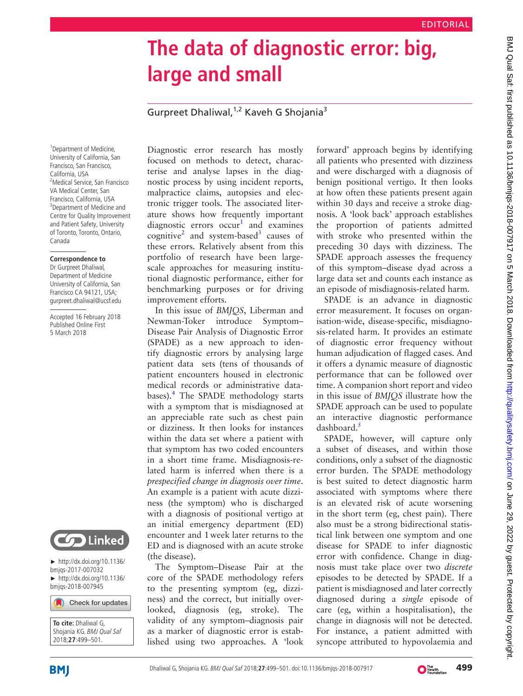# **The data of diagnostic error: big, large and small**

# Gurpreet Dhaliwal, $1,2$  Kaveh G Shojania<sup>3</sup>

<sup>1</sup> Department of Medicine, University of California, San Francisco, San Francisco, California, USA 2 Medical Service, San Francisco VA Medical Center, San Francisco, California, USA <sup>3</sup>Department of Medicine and Centre for Quality Improvement and Patient Safety, University of Toronto, Toronto, Ontario, Canada

#### **Correspondence to**

Dr Gurpreet Dhaliwal, Department of Medicine University of California, San Francisco CA 94121, USA; gurpreet.dhaliwal@ucsf.edu

Accepted 16 February 2018 Published Online First 5 March 2018



► http://dx.doi.org/10.1136/ bmjqs-2017-007032 ► http://dx.doi.org/10.1136/ bmjqs-2018-007945

Check for updates

**To cite:** Dhaliwal G, Shojania KG. BMJ Qual Saf 2018;**27**:499–501.

Diagnostic error research has mostly focused on methods to detect, characterise and analyse lapses in the diagnostic process by using incident reports, malpractice claims, autopsies and electronic trigger tools. The associated literature shows how frequently important diagnostic errors occur<sup>[1](#page-2-0)</sup> and examines cognitive<sup>[2](#page-2-1)</sup> and system-based<sup>[3](#page-2-2)</sup> causes of these errors. Relatively absent from this portfolio of research have been largescale approaches for measuring institutional diagnostic performance, either for benchmarking purposes or for driving improvement efforts.

In this issue of *BMJQS*, Liberman and Newman-Toker introduce Symptom– Disease Pair Analysis of Diagnostic Error (SPADE) as a new approach to identify diagnostic errors by analysing large patient data sets (tens of thousands of patient encounters housed in electronic medical records or administrative data-bases).<sup>[4](#page-2-3)</sup> The SPADE methodology starts with a symptom that is misdiagnosed at an appreciable rate such as chest pain or dizziness. It then looks for instances within the data set where a patient with that symptom has two coded encounters in a short time frame. Misdiagnosis-related harm is inferred when there is a *prespecified change in diagnosis over time*. An example is a patient with acute dizziness (the symptom) who is discharged with a diagnosis of positional vertigo at an initial emergency department (ED) encounter and 1week later returns to the ED and is diagnosed with an acute stroke (the disease).

The Symptom–Disease Pair at the core of the SPADE methodology refers to the presenting symptom (eg, dizziness) and the correct, but initially overlooked, diagnosis (eg, stroke). The validity of any symptom–diagnosis pair as a marker of diagnostic error is established using two approaches. A 'look

forward' approach begins by identifying all patients who presented with dizziness and were discharged with a diagnosis of benign positional vertigo. It then looks at how often these patients present again within 30 days and receive a stroke diagnosis. A 'look back' approach establishes the proportion of patients admitted with stroke who presented within the preceding 30 days with dizziness. The SPADE approach assesses the frequency of this symptom–disease dyad across a large data set and counts each instance as an episode of misdiagnosis-related harm.

SPADE is an advance in diagnostic error measurement. It focuses on organisation-wide, disease-specific, misdiagnosis-related harm. It provides an estimate of diagnostic error frequency without human adjudication of flagged cases. And it offers a dynamic measure of diagnostic performance that can be followed over time. A companion short report and video in this issue of *BMJQS* illustrate how the SPADE approach can be used to populate an interactive diagnostic performance  $d$ ashboard. $5$ 

SPADE, however, will capture only a subset of diseases, and within those conditions, only a subset of the diagnostic error burden. The SPADE methodology is best suited to detect diagnostic harm associated with symptoms where there is an elevated risk of acute worsening in the short term (eg, chest pain). There also must be a strong bidirectional statistical link between one symptom and one disease for SPADE to infer diagnostic error with confidence. Change in diagnosis must take place over two *discrete* episodes to be detected by SPADE. If a patient is misdiagnosed and later correctly diagnosed during a *single* episode of care (eg, within a hospitalisation), the change in diagnosis will not be detected. For instance, a patient admitted with syncope attributed to hypovolaemia and

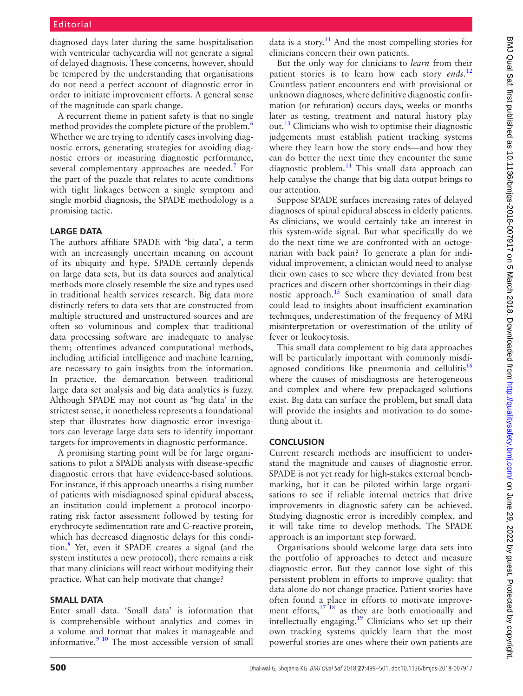diagnosed days later during the same hospitalisation with ventricular tachycardia will not generate a signal of delayed diagnosis. These concerns, however, should be tempered by the understanding that organisations do not need a perfect account of diagnostic error in order to initiate improvement efforts. A general sense of the magnitude can spark change.

A recurrent theme in patient safety is that no single method provides the complete picture of the problem.<sup>[6](#page-2-5)</sup> Whether we are trying to identify cases involving diagnostic errors, generating strategies for avoiding diagnostic errors or measuring diagnostic performance, several complementary approaches are needed.<sup>[7](#page-2-6)</sup> For the part of the puzzle that relates to acute conditions with tight linkages between a single symptom and single morbid diagnosis, the SPADE methodology is a promising tactic.

### **Large data**

The authors affiliate SPADE with 'big data', a term with an increasingly uncertain meaning on account of its ubiquity and hype. SPADE certainly depends on large data sets, but its data sources and analytical methods more closely resemble the size and types used in traditional health services research. Big data more distinctly refers to data sets that are constructed from multiple structured and unstructured sources and are often so voluminous and complex that traditional data processing software are inadequate to analyse them; oftentimes advanced computational methods, including artificial intelligence and machine learning, are necessary to gain insights from the information. In practice, the demarcation between traditional large data set analysis and big data analytics is fuzzy. Although SPADE may not count as 'big data' in the strictest sense, it nonetheless represents a foundational step that illustrates how diagnostic error investigators can leverage large data sets to identify important targets for improvements in diagnostic performance.

A promising starting point will be for large organisations to pilot a SPADE analysis with disease-specific diagnostic errors that have evidence-based solutions. For instance, if this approach unearths a rising number of patients with misdiagnosed spinal epidural abscess, an institution could implement a protocol incorporating risk factor assessment followed by testing for erythrocyte sedimentation rate and C-reactive protein, which has decreased diagnostic delays for this condition.[8](#page-2-7) Yet, even if SPADE creates a signal (and the system institutes a new protocol), there remains a risk that many clinicians will react without modifying their practice. What can help motivate that change?

#### **SMALL DATA**

Enter small data. 'Small data' is information that is comprehensible without analytics and comes in a volume and format that makes it manageable and informative. $9^{10}$  The most accessible version of small

data is a story.<sup>[11](#page-2-9)</sup> And the most compelling stories for clinicians concern their own patients.

But the only way for clinicians to *learn* from their patient stories is to learn how each story *ends*. [12](#page-2-10) Countless patient encounters end with provisional or unknown diagnoses, where definitive diagnostic confirmation (or refutation) occurs days, weeks or months later as testing, treatment and natural history play out.[13](#page-2-11) Clinicians who wish to optimise their diagnostic judgements must establish patient tracking systems where they learn how the story ends—and how they can do better the next time they encounter the same diagnostic problem. $^{14}$  This small data approach can help catalyse the change that big data output brings to our attention.

Suppose SPADE surfaces increasing rates of delayed diagnoses of spinal epidural abscess in elderly patients. As clinicians, we would certainly take an interest in this system-wide signal. But what specifically do we do the next time we are confronted with an octogenarian with back pain? To generate a plan for individual improvement, a clinician would need to analyse their own cases to see where they deviated from best practices and discern other shortcomings in their diagnostic approach.<sup>15</sup> Such examination of small data could lead to insights about insufficient examination techniques, underestimation of the frequency of MRI misinterpretation or overestimation of the utility of fever or leukocytosis.

This small data complement to big data approaches will be particularly important with commonly misdiagnosed conditions like pneumonia and cellulitis $16$ where the causes of misdiagnosis are heterogeneous and complex and where few prepackaged solutions exist. Big data can surface the problem, but small data will provide the insights and motivation to do something about it.

#### **Conclusion**

Current research methods are insufficient to understand the magnitude and causes of diagnostic error. SPADE is not yet ready for high-stakes external benchmarking, but it can be piloted within large organisations to see if reliable internal metrics that drive improvements in diagnostic safety can be achieved. Studying diagnostic error is incredibly complex, and it will take time to develop methods. The SPADE approach is an important step forward.

Organisations should welcome large data sets into the portfolio of approaches to detect and measure diagnostic error. But they cannot lose sight of this persistent problem in efforts to improve quality: that data alone do not change practice. Patient stories have often found a place in efforts to motivate improvement efforts, $17 \text{ } 18$  as they are both emotionally and intellectually engaging.<sup>19</sup> Clinicians who set up their own tracking systems quickly learn that the most powerful stories are ones where their own patients are